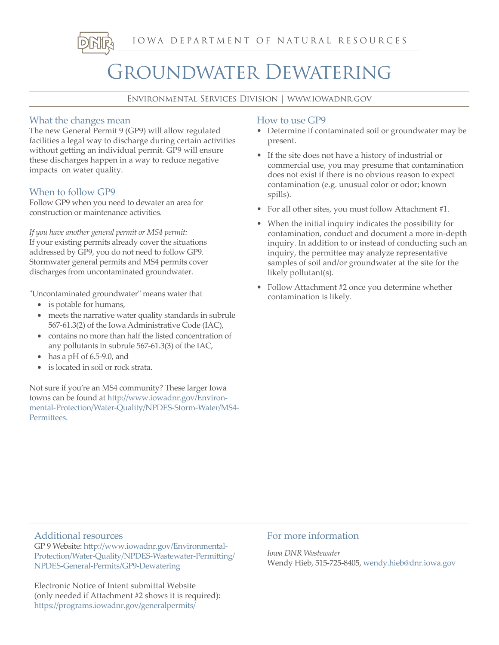IOWA DEPARTMENT OF NATURAL RESOURCES

# Groundwater Dewatering

Environmental Services Division | www.iowadnr.gov

# What the changes mean

The new General Permit 9 (GP9) will allow regulated facilities a legal way to discharge during certain activities without getting an individual permit. GP9 will ensure these discharges happen in a way to reduce negative impacts on water quality.

# When to follow GP9

Follow GP9 when you need to dewater an area for construction or maintenance activities.

*If you have another general permit or MS4 permit:* If your existing permits already cover the situations addressed by GP9, you do not need to follow GP9. Stormwater general permits and MS4 permits cover discharges from uncontaminated groundwater.

"Uncontaminated groundwater" means water that

- is potable for humans,
- meets the narrative water quality standards in subrule 567-61.3(2) of the Iowa Administrative Code (IAC),
- contains no more than half the listed concentration of any pollutants in subrule 567-61.3(3) of the IAC,
- has a pH of  $6.5-9.0$ , and
- is located in soil or rock strata.

Not sure if you're an MS4 community? These larger Iowa towns can be found at http://www.iowadnr.gov/Environmental-Protection/Water-Quality/NPDES-Storm-Water/MS4- Permittees.

## How to use GP9

- Determine if contaminated soil or groundwater may be present.
- If the site does not have a history of industrial or commercial use, you may presume that contamination does not exist if there is no obvious reason to expect contamination (e.g. unusual color or odor; known spills).
- For all other sites, you must follow Attachment #1.
- When the initial inquiry indicates the possibility for contamination, conduct and document a more in-depth inquiry. In addition to or instead of conducting such an inquiry, the permittee may analyze representative samples of soil and/or groundwater at the site for the likely pollutant(s).
- Follow Attachment #2 once you determine whether contamination is likely.

## Additional resources

GP 9 Website: http://www.iowadnr.gov/Environmental-Protection/Water-Quality/NPDES-Wastewater-Permitting/ NPDES-General-Permits/GP9-Dewatering

Electronic Notice of Intent submittal Website (only needed if Attachment #2 shows it is required): https://programs.iowadnr.gov/generalpermits/

## For more information

*Iowa DNR Wastewater* Wendy Hieb, 515-725-8405, wendy.hieb@dnr.iowa.gov

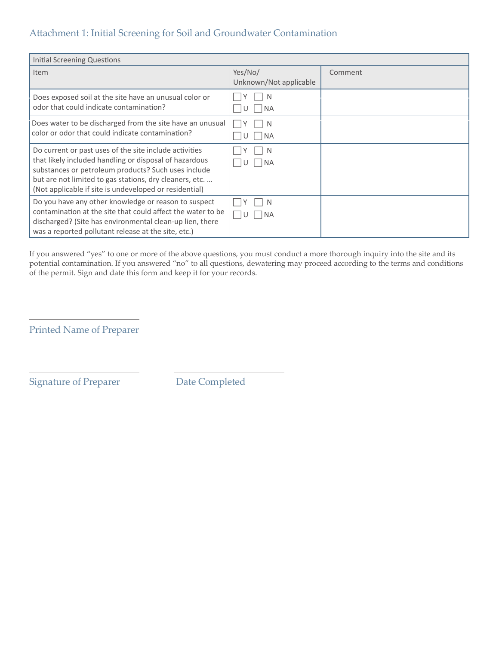# Attachment 1: Initial Screening for Soil and Groundwater Contamination

| <b>Initial Screening Questions</b>                                                                                                                                                                                                                                                           |                                   |         |
|----------------------------------------------------------------------------------------------------------------------------------------------------------------------------------------------------------------------------------------------------------------------------------------------|-----------------------------------|---------|
| Item                                                                                                                                                                                                                                                                                         | Yes/No/<br>Unknown/Not applicable | Comment |
| Does exposed soil at the site have an unusual color or<br>odor that could indicate contamination?                                                                                                                                                                                            | <b>NA</b>                         |         |
| Does water to be discharged from the site have an unusual<br>color or odor that could indicate contamination?                                                                                                                                                                                | <sup>N</sup><br>l NA              |         |
| Do current or past uses of the site include activities<br>that likely included handling or disposal of hazardous<br>substances or petroleum products? Such uses include<br>but are not limited to gas stations, dry cleaners, etc.<br>(Not applicable if site is undeveloped or residential) | l NA<br>U                         |         |
| Do you have any other knowledge or reason to suspect<br>contamination at the site that could affect the water to be<br>discharged? (Site has environmental clean-up lien, there<br>was a reported pollutant release at the site, etc.)                                                       | N<br>I NA<br>1 I U                |         |

If you answered "yes" to one or more of the above questions, you must conduct a more thorough inquiry into the site and its potential contamination. If you answered "no" to all questions, dewatering may proceed according to the terms and conditions of the permit. Sign and date this form and keep it for your records.

Printed Name of Preparer

Signature of Preparer Date Completed